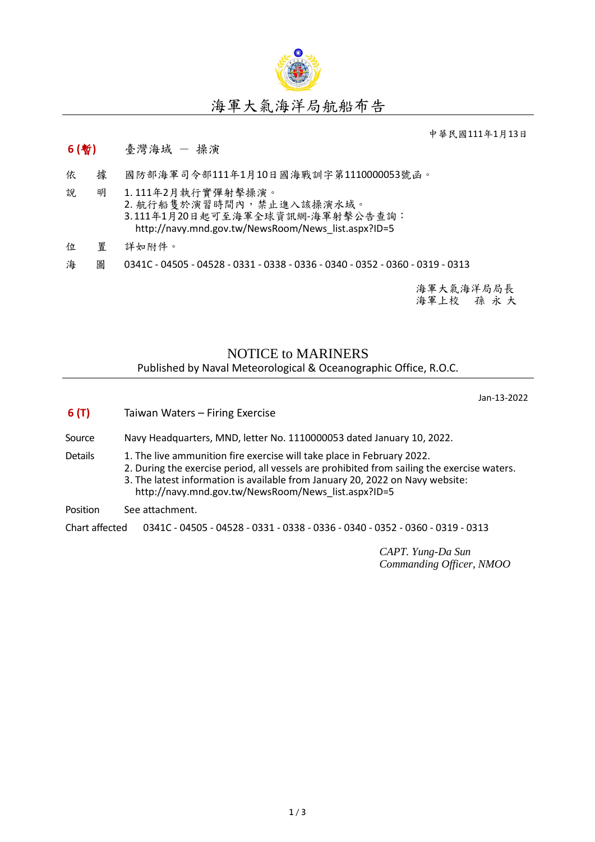

## 海軍大氣海洋局航船布告

中華民國111年1月13日

## **6 (**暫**)** 臺灣海域 - 操演

- 依 據 國防部海軍司令部111年1月10日國海戰訓字第1110000053號函。
- 說 明 1. 111年2月執行實彈射擊操演。 2. 航行船隻於演習時間內,禁止進入該操演水域。 3.111年1月20日起可至海軍全球資訊網-海軍射擊公告查詢: [http://navy.mnd.gov.tw/NewsRoom/News\\_list.aspx?ID=5](http://navy.mnd.gov.tw/NewsRoom/News_list.aspx?ID=5)
- 位 置 詳如附件。
- 海 圖 0341C 04505 04528 0331 0338 0336 0340 0352 0360 0319 0313

海軍大氣海洋局局長 海軍上校 孫 永 大

## NOTICE to MARINERS Published by Naval Meteorological & Oceanographic Office, R.O.C.

Jan-13-2022

**6 (T)** Taiwan Waters – Firing Exercise Source Navy Headquarters, MND, letter No. 1110000053 dated January 10, 2022. Details 1. The live ammunition fire exercise will take place in February 2022. 2. During the exercise period, all vessels are prohibited from sailing the exercise waters. 3. The latest information is available from January 20, 2022 on Navy website: [http://navy.mnd.gov.tw/NewsRoom/News\\_list.aspx?ID=5](http://navy.mnd.gov.tw/NewsRoom/News_list.aspx?ID=5) Position See attachment. Chart affected 0341C - 04505 - 04528 - 0331 - 0338 - 0336 - 0340 - 0352 - 0360 - 0319 - 0313

*CAPT. Yung-Da Sun Commanding Officer, NMOO*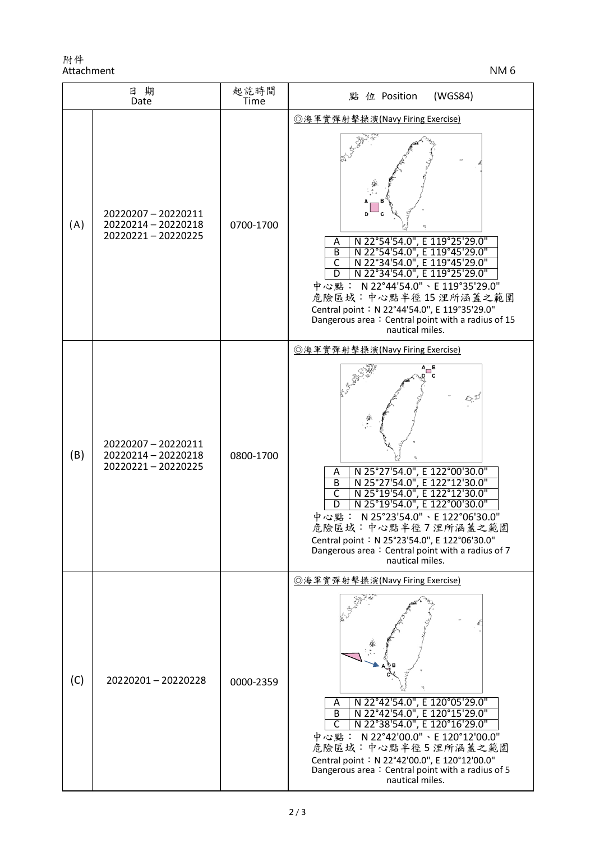附件 Attachment NM 6

| 日期<br>Date |                                                               | 起訖時間<br>Time | (WGS84)<br>點 位 Position                                                                                                                                                                                                                                                                                                                                                                                      |
|------------|---------------------------------------------------------------|--------------|--------------------------------------------------------------------------------------------------------------------------------------------------------------------------------------------------------------------------------------------------------------------------------------------------------------------------------------------------------------------------------------------------------------|
| (A)        | 20220207-20220211<br>20220214 - 20220218<br>20220221-20220225 | 0700-1700    | ◎海軍實彈射擊操演(Navy Firing Exercise)<br>N 22°54'54.0", E 119°25'29.0"<br>Α<br>N 22°54'54.0", E 119°45'29.0"<br>B<br>$\overline{\mathsf{C}}$<br>N 22°34'54.0", E 119°45'29.0"<br>N 22°34'54.0", E 119°25'29.0"<br>D<br>中心點: N 22°44'54.0"、E 119°35'29.0"<br>危險區域:中心點半徑15浬所涵蓋之範圍<br>Central point: N 22°44'54.0", E 119°35'29.0"<br>Dangerous area: Central point with a radius of 15<br>nautical miles.            |
| (B)        | 20220207-20220211<br>20220214 - 20220218<br>20220221-20220225 | 0800-1700    | ◎海軍實彈射擊操演(Navy Firing Exercise)<br>N 25°27'54.0", E 122°00'30.0"<br>N 25°27'54.0", E 122°12'30.0"<br>N 25°19'54.0", E 122°12'30.0"<br>Α<br>$\overline{B}$<br>$\overline{\mathsf{C}}$<br>N 25°19'54.0", E 122°00'30.0"<br>D<br>中心點: N 25°23'54.0"、E 122°06'30.0"<br>危險區域:中心點半徑7浬所涵蓋之範圍<br>Central point: N 25°23'54.0", E 122°06'30.0"<br>Dangerous area: Central point with a radius of 7<br>nautical miles. |
| (C)        | 20220201-20220228                                             | 0000-2359    | <b>◎海軍實彈射擊操演(Navy Firing Exercise)</b><br>N 22°42'54.0", E 120°05'29.0"<br>Α<br>N 22°42'54.0", E 120°15'29.0"<br>B<br>N 22°38'54.0", E 120°16'29.0"<br>C<br>中心點: N22°42'00.0"、E 120°12'00.0"<br>危險區域:中心點半徑5浬所涵蓋之範圍<br>Central point: N 22°42'00.0", E 120°12'00.0"<br>Dangerous area: Central point with a radius of 5<br>nautical miles.                                                                    |